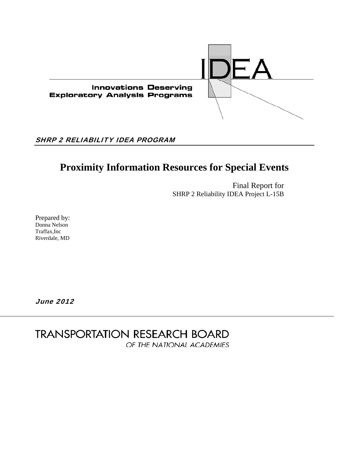

# SHRP 2 RELIABILITY IDEA PROGRAM

# **Proximity Information Resources for Special Events**

Final Report for SHRP 2 Reliability IDEA Project L-15B

Prepared by: Donna Nelson Traffax,Inc Riverdale, MD

June 2012

**TRANSPORTATION RESEARCH BOARD** OF THE NATIONAL ACADEMIES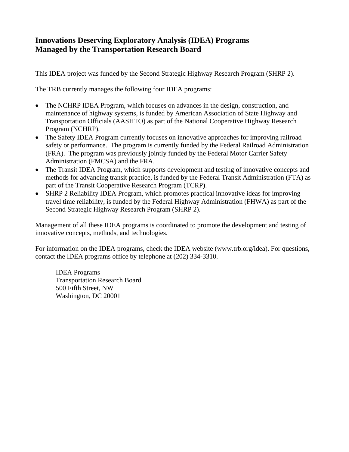# **Innovations Deserving Exploratory Analysis (IDEA) Programs Managed by the Transportation Research Board**

This IDEA project was funded by the Second Strategic Highway Research Program (SHRP 2).

The TRB currently manages the following four IDEA programs:

- The NCHRP IDEA Program, which focuses on advances in the design, construction, and maintenance of highway systems, is funded by American Association of State Highway and Transportation Officials (AASHTO) as part of the National Cooperative Highway Research Program (NCHRP).
- The Safety IDEA Program currently focuses on innovative approaches for improving railroad safety or performance. The program is currently funded by the Federal Railroad Administration (FRA). The program was previously jointly funded by the Federal Motor Carrier Safety Administration (FMCSA) and the FRA.
- The Transit IDEA Program, which supports development and testing of innovative concepts and methods for advancing transit practice, is funded by the Federal Transit Administration (FTA) as part of the Transit Cooperative Research Program (TCRP).
- SHRP 2 Reliability IDEA Program, which promotes practical innovative ideas for improving travel time reliability, is funded by the Federal Highway Administration (FHWA) as part of the Second Strategic Highway Research Program (SHRP 2).

Management of all these IDEA programs is coordinated to promote the development and testing of innovative concepts, methods, and technologies.

For information on the IDEA programs, check the IDEA website (www.trb.org/idea). For questions, contact the IDEA programs office by telephone at (202) 334-3310.

 IDEA Programs Transportation Research Board 500 Fifth Street, NW Washington, DC 20001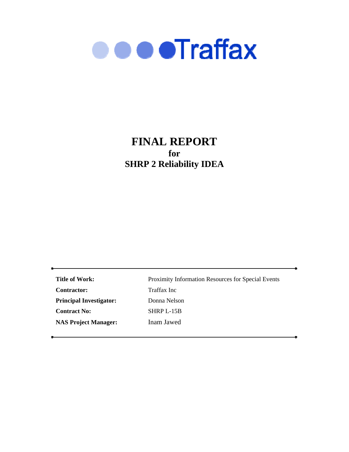

# **FINAL REPORT for SHRP 2 Reliability IDEA**

**Title of Work:** Proximity Information Resources for Special Events **Contractor:** Traffax Inc Principal Investigator: Donna Nelson **Contract No:** SHRP L-15B **NAS Project Manager:** Inam Jawed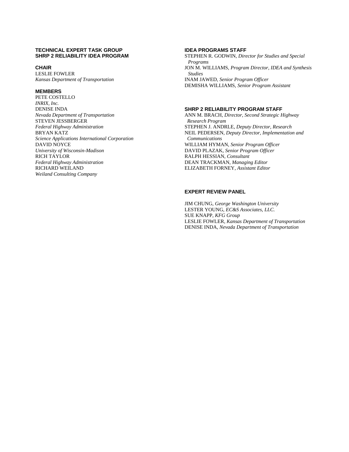#### **TECHNICAL EXPERT TASK GROUP SHRP 2 RELIABILITY IDEA PROGRAM**

#### **CHAIR**

LESLIE FOWLER *Kansas Department of Transportation*

#### **MEMBERS**

PETE COSTELLO *INRIX, Inc.*  DENISE INDA *Nevada Department of Transportation*  STEVEN JESSBERGER *Federal Highway Administration* BRYAN KATZ *Science Applications International Corporation* DAVID NOYCE *University of Wisconsin-Madison* RICH TAYLOR *Federal Highway Administration* RICHARD WEILAND *Weiland Consulting Company*

#### **IDEA PROGRAMS STAFF**

STEPHEN R. GODWIN, *Director for Studies and Special Programs*  JON M. WILLIAMS, *Program Director, IDEA and Synthesis Studies*  INAM JAWED, *Senior Program Officer*  DEMISHA WILLIAMS, *Senior Program Assistant*

#### **SHRP 2 RELIABILITY PROGRAM STAFF**

ANN M. BRACH, *Director, Second Strategic Highway Research Program* STEPHEN J. ANDRLE, *Deputy Director, Research* NEIL PEDERSEN, *Deputy Director, Implementation and Communications*  WILLIAM HYMAN, *Senior Program Officer* DAVID PLAZAK, *Senior Program Officer* RALPH HESSIAN, *Consultant*  DEAN TRACKMAN, *Managing Editor*  ELIZABETH FORNEY, *Assistant Editor*

# **EXPERT REVIEW PANEL**

JIM CHUNG, *George Washington University*  LESTER YOUNG, *EC&S Associates, LLC.*  SUE KNAPP, *KFG Group*  LESLIE FOWLER, *Kansas Department of Transportation*  DENISE INDA, *Nevada Department of Transportation*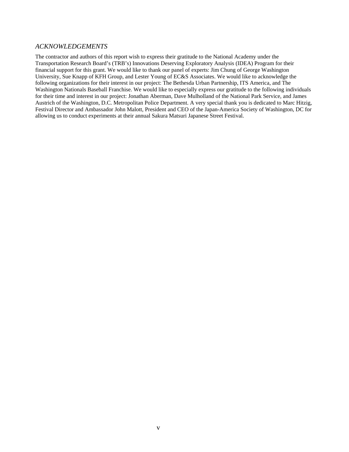# *ACKNOWLEDGEMENTS*

The contractor and authors of this report wish to express their gratitude to the National Academy under the Transportation Research Board's (TRB's) Innovations Deserving Exploratory Analysis (IDEA) Program for their financial support for this grant. We would like to thank our panel of experts: Jim Chung of George Washington University, Sue Knapp of KFH Group, and Lester Young of EC&S Associates. We would like to acknowledge the following organizations for their interest in our project: The Bethesda Urban Partnership, ITS America, and The Washington Nationals Baseball Franchise. We would like to especially express our gratitude to the following individuals for their time and interest in our project: Jonathan Aberman, Dave Mulholland of the National Park Service, and James Austrich of the Washington, D.C. Metropolitan Police Department. A very special thank you is dedicated to Marc Hitzig, Festival Director and Ambassador John Malott, President and CEO of the Japan-America Society of Washington, DC for allowing us to conduct experiments at their annual Sakura Matsuri Japanese Street Festival.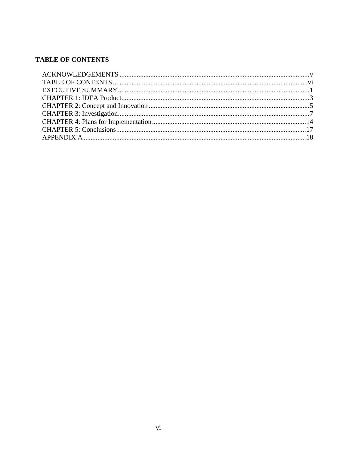# **TABLE OF CONTENTS**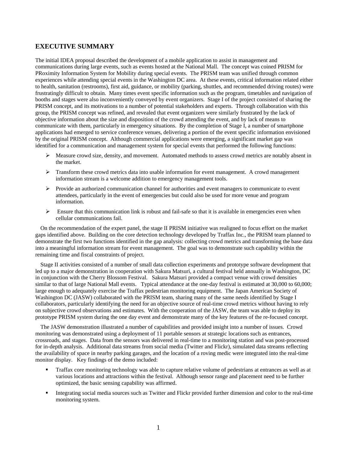# **EXECUTIVE SUMMARY**

The initial IDEA proposal described the development of a mobile application to assist in management and communications during large events, such as events hosted at the National Mall. The concept was coined PRISM for PRoximity Information System for Mobility during special events. The PRISM team was unified through common experiences while attending special events in the Washington DC area. At these events, critical information related either to health, sanitation (restrooms), first aid, guidance, or mobility (parking, shuttles, and recommended driving routes) were frustratingly difficult to obtain. Many times event specific information such as the program, timetables and navigation of booths and stages were also inconveniently conveyed by event organizers. Stage I of the project consisted of sharing the PRISM concept, and its motivations to a number of potential stakeholders and experts. Through collaboration with this group, the PRISM concept was refined, and revealed that event organizers were similarly frustrated by the lack of objective information about the size and disposition of the crowd attending the event, and by lack of means to communicate with them, particularly in emergency situations. By the completion of Stage I, a number of smartphone applications had emerged to service conference venues, delivering a portion of the event specific information envisioned by the original PRISM concept. Although commercial applications were emerging, a significant market gap was identified for a communication and management system for special events that performed the following functions:

- $\triangleright$  Measure crowd size, density, and movement. Automated methods to assess crowd metrics are notably absent in the market.
- $\triangleright$  Transform these crowd metrics data into usable information for event management. A crowd management information stream is a welcome addition to emergency management tools.
- Provide an authorized communication channel for authorities and event managers to communicate to event attendees, particularly in the event of emergencies but could also be used for more venue and program information.
- $\triangleright$  Ensure that this communication link is robust and fail-safe so that it is available in emergencies even when cellular communications fail.

On the recommendation of the expert panel, the stage II PRISM initiative was realigned to focus effort on the market gaps identified above. Building on the core detection technology developed by Traffax Inc., the PRISM team planned to demonstrate the first two functions identified in the gap analysis: collecting crowd metrics and transforming the base data into a meaningful information stream for event management. The goal was to demonstrate such capability within the remaining time and fiscal constraints of project.

Stage II activities consisted of a number of small data collection experiments and prototype software development that led up to a major demonstration in cooperation with Sakura Matsuri, a cultural festival held annually in Washington, DC in conjunction with the Cherry Blossom Festival. Sakura Matsuri provided a compact venue with crowd densities similar to that of large National Mall events. Typical attendance at the one-day festival is estimated at 30,000 to 60,000; large enough to adequately exercise the Traffax pedestrian monitoring equipment. The Japan American Society of Washington DC (JASW) collaborated with the PRISM team, sharing many of the same needs identified by Stage I collaborators, particularly identifying the need for an objective source of real-time crowd metrics without having to rely on subjective crowd observations and estimates. With the cooperation of the JASW, the team was able to deploy its prototype PRISM system during the one day event and demonstrate many of the key features of the re-focused concept.

The JASW demonstration illustrated a number of capabilities and provided insight into a number of issues. Crowd monitoring was demonstrated using a deployment of 11 portable sensors at strategic locations such as entrances, crossroads, and stages. Data from the sensors was delivered in real-time to a monitoring station and was post-processed for in-depth analysis. Additional data streams from social media (Twitter and Flickr), simulated data streams reflecting the availability of space in nearby parking garages, and the location of a roving medic were integrated into the real-time monitor display. Key findings of the demo included:

- Traffax core monitoring technology was able to capture relative volume of pedestrians at entrances as well as at various locations and attractions within the festival. Although sensor range and placement need to be further optimized, the basic sensing capability was affirmed.
- Integrating social media sources such as Twitter and Flickr provided further dimension and color to the real-time monitoring system.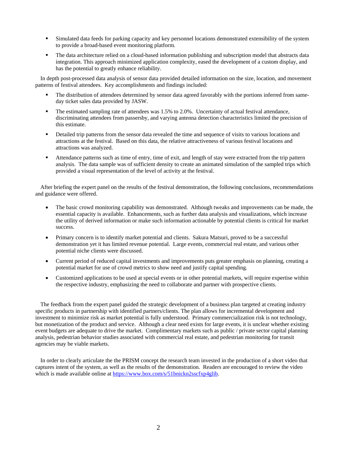- Simulated data feeds for parking capacity and key personnel locations demonstrated extensibility of the system to provide a broad-based event monitoring platform.
- The data architecture relied on a cloud-based information publishing and subscription model that abstracts data integration. This approach minimized application complexity, eased the development of a custom display, and has the potential to greatly enhance reliability.

In depth post-processed data analysis of sensor data provided detailed information on the size, location, and movement patterns of festival attendees. Key accomplishments and findings included:

- The distribution of attendees determined by sensor data agreed favorably with the portions inferred from sameday ticket sales data provided by JASW.
- The estimated sampling rate of attendees was 1.5% to 2.0%. Uncertainty of actual festival attendance, discriminating attendees from passersby, and varying antenna detection characteristics limited the precision of this estimate.
- Detailed trip patterns from the sensor data revealed the time and sequence of visits to various locations and attractions at the festival. Based on this data, the relative attractiveness of various festival locations and attractions was analyzed.
- Attendance patterns such as time of entry, time of exit, and length of stay were extracted from the trip pattern analysis. The data sample was of sufficient density to create an animated simulation of the sampled trips which provided a visual representation of the level of activity at the festival.

After briefing the expert panel on the results of the festival demonstration, the following conclusions, recommendations and guidance were offered.

- The basic crowd monitoring capability was demonstrated. Although tweaks and improvements can be made, the essential capacity is available. Enhancements, such as further data analysis and visualizations, which increase the utility of derived information or make such information actionable by potential clients is critical for market success.
- Primary concern is to identify market potential and clients. Sakura Matsuri, proved to be a successful demonstration yet it has limited revenue potential. Large events, commercial real estate, and various other potential niche clients were discussed.
- Current period of reduced capital investments and improvements puts greater emphasis on planning, creating a potential market for use of crowd metrics to show need and justify capital spending.
- Customized applications to be used at special events or in other potential markets, will require expertise within the respective industry, emphasizing the need to collaborate and partner with prospective clients.

The feedback from the expert panel guided the strategic development of a business plan targeted at creating industry specific products in partnership with identified partners/clients. The plan allows for incremental development and investment to minimize risk as market potential is fully understood. Primary commercialization risk is not technology, but monetization of the product and service. Although a clear need exists for large events, it is unclear whether existing event budgets are adequate to drive the market. Complimentary markets such as public / private sector capital planning analysis, pedestrian behavior studies associated with commercial real estate, and pedestrian monitoring for transit agencies may be viable markets.

In order to clearly articulate the the PRISM concept the research team invested in the production of a short video that captures intent of the system, as well as the results of the demonstration. Readers are encouraged to review the video which is made available online at https://www.box.com/s/51bnickn2sscfxp4glib.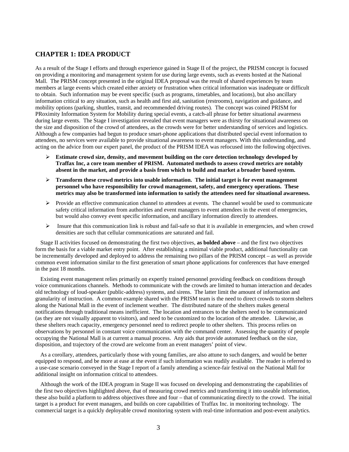# **CHAPTER 1: IDEA PRODUCT**

As a result of the Stage I efforts and through experience gained in Stage II of the project, the PRISM concept is focused on providing a monitoring and management system for use during large events, such as events hosted at the National Mall. The PRISM concept presented in the original IDEA proposal was the result of shared experiences by team members at large events which created either anxiety or frustration when critical information was inadequate or difficult to obtain. Such information may be event specific (such as programs, timetables, and locations), but also ancillary information critical to any situation, such as health and first aid, sanitation (restrooms), navigation and guidance, and mobility options (parking, shuttles, transit, and recommended driving routes). The concept was coined PRISM for PRoximity Information System for Mobility during special events, a catch-all phrase for better situational awareness during large events. The Stage I investigation revealed that event managers were as thirsty for situational awareness on the size and disposition of the crowd of attendees, as the crowds were for better understanding of services and logistics. Although a few companies had begun to produce smart-phone applications that distributed special event information to attendees, no services were available to provide situational awareness to event managers. With this understanding, and acting on the advice from our expert panel, the product of the PRISM IDEA was refocused into the following objectives.

- **Estimate crowd size, density, and movement building on the core detection technology developed by Traffax Inc, a core team member of PRISM. Automated methods to assess crowd metrics are notably absent in the market, and provide a basis from which to build and market a broader based system.**
- **Transform these crowd metrics into usable information. The initial target is for event management personnel who have responsibility for crowd management, safety, and emergency operations. These metrics may also be transformed into information to satisfy the attendees need for situational awareness.**
- $\triangleright$  Provide an effective communication channel to attendees at events. The channel would be used to communicate safety critical information from authorities and event managers to event attendees in the event of emergencies, but would also convey event specific information, and ancillary information directly to attendees.
- Insure that this communication link is robust and fail-safe so that it is available in emergencies, and when crowd densities are such that cellular communications are saturated and fail.

Stage II activities focused on demonstrating the first two objectives, **as bolded above** – and the first two objectives form the basis for a viable market entry point. After establishing a minimal viable product, additional functionality can be incrementally developed and deployed to address the remaining two pillars of the PRISM concept – as well as provide common event information similar to the first generation of smart phone applications for conferences that have emerged in the past 18 months.

Existing event management relies primarily on expertly trained personnel providing feedback on conditions through voice communications channels. Methods to communicate with the crowds are limited to human interaction and decades old technology of loud-speaker (public-address) systems, and sirens. The latter limit the amount of information and granularity of instruction. A common example shared with the PRISM team is the need to direct crowds to storm shelters along the National Mall in the event of inclement weather. The distributed nature of the shelters makes general notifications through traditional means inefficient. The location and entrances to the shelters need to be communicated (as they are not visually apparent to visitors), and need to be customized to the location of the attendee. Likewise, as these shelters reach capacity, emergency personnel need to redirect people to other shelters. This process relies on observations by personnel in constant voice communication with the command center. Assessing the quantity of people occupying the National Mall is at current a manual process. Any aids that provide automated feedback on the size, disposition, and trajectory of the crowd are welcome from an event managers' point of view.

As a corollary, attendees, particularly those with young families, are also attune to such dangers, and would be better equipped to respond, and be more at ease at the event if such information was readily available. The reader is referred to a use-case scenario conveyed in the Stage I report of a family attending a science-fair festival on the National Mall for additional insight on information critical to attendees.

Although the work of the IDEA program in Stage II was focused on developing and demonstrating the capabilities of the first two objectives highlighted above, that of measuring crowd metrics and transforming it into useable information, these also build a platform to address objectives three and four – that of communicating directly to the crowd. The initial target is a product for event managers, and builds on core capabilities of Traffax Inc. in monitoring technology. The commercial target is a quickly deployable crowd monitoring system with real-time information and post-event analytics.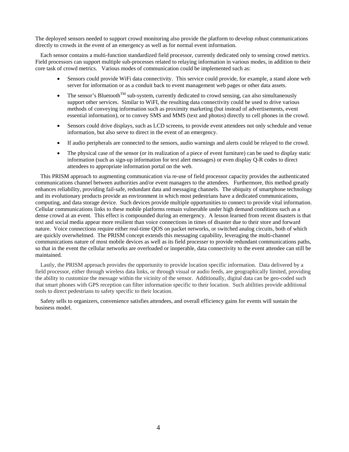The deployed sensors needed to support crowd monitoring also provide the platform to develop robust communications directly to crowds in the event of an emergency as well as for normal event information.

Each sensor contains a multi-function standardized field processor, currently dedicated only to sensing crowd metrics. Field processors can support multiple sub-processes related to relaying information in various modes, in addition to their core task of crowd metrics. Various modes of communication could be implemented such as:

- Sensors could provide WiFi data connectivity. This service could provide, for example, a stand alone web server for information or as a conduit back to event management web pages or other data assets.
- The sensor's Bluetooth<sup>TM</sup> sub-system, currently dedicated to crowd sensing, can also simultaneously support other services. Similar to WiFI, the resulting data connectivity could be used to drive various methods of conveying information such as proximity marketing (but instead of advertisements, event essential information), or to convey SMS and MMS (text and photos) directly to cell phones in the crowd.
- Sensors could drive displays, such as LCD screens, to provide event attendees not only schedule and venue information, but also serve to direct in the event of an emergency.
- If audio peripherals are connected to the sensors, audio warnings and alerts could be relayed to the crowd.
- The physical case of the sensor (or its realization of a piece of event furniture) can be used to display static information (such as sign-up information for text alert messages) or even display Q-R codes to direct attendees to appropriate information portal on the web.

This PRISM approach to augmenting communication via re-use of field processor capacity provides the authenticated communications channel between authorities and/or event managers to the attendees. Furthermore, this method greatly enhances reliability, providing fail-safe, redundant data and messaging channels. The ubiquity of smartphone technology and its evolutionary products provide an environment in which most pedestrians have a dedicated communications, computing, and data storage device. Such devices provide multiple opportunities to connect to provide vital information. Cellular communications links to these mobile platforms remain vulnerable under high demand conditions such as a dense crowd at an event. This effect is compounded during an emergency. A lesson learned from recent disasters is that text and social media appear more resilient than voice connections in times of disaster due to their store and forward nature. Voice connections require either real-time QOS on packet networks, or switched analog circuits, both of which are quickly overwhelmed. The PRISM concept extends this messaging capability, leveraging the multi-channel communications nature of most mobile devices as well as its field processer to provide redundant communications paths, so that in the event the cellular networks are overloaded or inoperable, data connectivity to the event attendee can still be maintained.

Lastly, the PRISM approach provides the opportunity to provide location specific information. Data delivered by a field processor, either through wireless data links, or through visual or audio feeds, are geographically limited, providing the ability to customize the message within the vicinity of the sensor. Additionally, digital data can be geo-coded such that smart phones with GPS reception can filter information specific to their location. Such abilities provide additional tools to direct pedestrians to safety specific to their location.

Safety sells to organizers, convenience satisfies attendees, and overall efficiency gains for events will sustain the business model.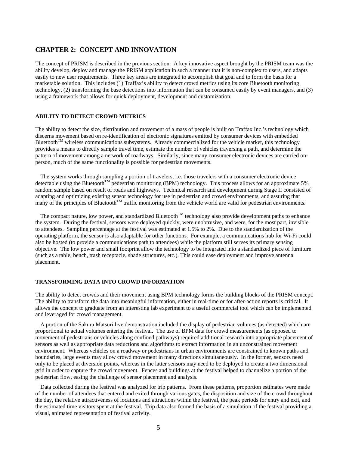# **CHAPTER 2: CONCEPT AND INNOVATION**

The concept of PRISM is described in the previous section. A key innovative aspect brought by the PRISM team was the ability develop, deploy and manage the PRISM application in such a manner that it is non-complex to users, and adapts easily to new user requirements. Three key areas are integrated to accomplish that goal and to form the basis for a marketable solution. This includes (1) Traffax's ability to detect crowd metrics using its core Bluetooth monitoring technology, (2) transforming the base detections into information that can be consumed easily by event managers, and (3) using a framework that allows for quick deployment, development and customization.

# **ABILITY TO DETECT CROWD METRICS**

The ability to detect the size, distribution and movement of a mass of people is built on Traffax Inc.'s technology which discerns movement based on re-identification of electronic signatures emitted by consumer devices with embedded Bluetooth<sup>TM</sup> wireless communications subsystems. Already commercialized for the vehicle market, this technology provides a means to directly sample travel time, estimate the number of vehicles traversing a path, and determine the pattern of movement among a network of roadways. Similarly, since many consumer electronic devices are carried onperson, much of the same functionality is possible for pedestrian movements.

The system works through sampling a portion of travelers, i.e. those travelers with a consumer electronic device detectable using the Bluetooth<sup>TM</sup> pedestrian monitoring (BPM) technology. This process allows for an approximate 5% random sample based on result of roads and highways. Technical research and development during Stage II consisted of adapting and optimizing existing sensor technology for use in pedestrian and crowd environments, and assuring that many of the principles of Bluetooth<sup>TM</sup> traffic monitoring from the vehicle world are valid for pedestrian environments.

The compact nature, low power, and standardized Bluetooth<sup>TM</sup> technology also provide development paths to enhance the system. During the festival, sensors were deployed quickly, were unobtrusive, and were, for the most part, invisible to attendees. Sampling percentage at the festival was estimated at 1.5% to 2%. Due to the standardization of the operating platform, the sensor is also adaptable for other functions. For example, a communications hub for Wi-Fi could also be hosted (to provide a communications path to attendees) while the platform still serves its primary sensing objective. The low power and small footprint allow the technology to be integrated into a standardized piece of furniture (such as a table, bench, trash receptacle, shade structures, etc.). This could ease deployment and improve antenna placement.

#### **TRANSFORMING DATA INTO CROWD INFORMATION**

The ability to detect crowds and their movement using BPM technology forms the building blocks of the PRISM concept. The ability to transform the data into meaningful information, either in real-time or for after-action reports is critical. It allows the concept to graduate from an interesting lab experiment to a useful commercial tool which can be implemented and leveraged for crowd management.

A portion of the Sakura Matsuri live demonstration included the display of pedestrian volumes (as detected) which are proportional to actual volumes entering the festival. The use of BPM data for crowd measurements (as opposed to movement of pedestrians or vehicles along confined pathways) required additional research into appropriate placement of sensors as well as appropriate data reductions and algorithms to extract information in an unconstrained movement environment. Whereas vehicles on a roadway or pedestrians in urban environments are constrained to known paths and boundaries, large events may allow crowd movement in many directions simultaneously. In the former, sensors need only to be placed at diversion points, whereas in the latter sensors may need to be deployed to create a two dimensional grid in order to capture the crowd movement. Fences and buildings at the festival helped to channelize a portion of the pedestrian flow, easing the challenge of sensor placement and analysis.

Data collected during the festival was analyzed for trip patterns. From these patterns, proportion estimates were made of the number of attendees that entered and exited through various gates, the disposition and size of the crowd throughout the day, the relative attractiveness of locations and attractions within the festival, the peak periods for entry and exit, and the estimated time visitors spent at the festival. Trip data also formed the basis of a simulation of the festival providing a visual, animated representation of festival activity.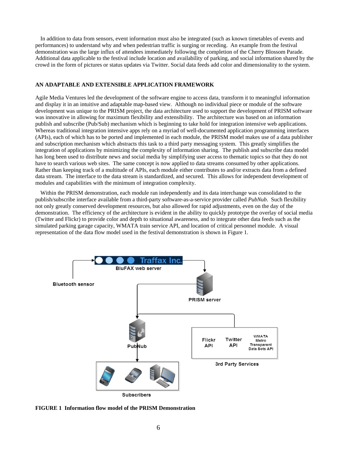In addition to data from sensors, event information must also be integrated (such as known timetables of events and performances) to understand why and when pedestrian traffic is surging or receding. An example from the festival demonstration was the large influx of attendees immediately following the completion of the Cherry Blossom Parade. Additional data applicable to the festival include location and availability of parking, and social information shared by the crowd in the form of pictures or status updates via Twitter. Social data feeds add color and dimensionality to the system.

# **AN ADAPTABLE AND EXTENSIBLE APPLICATION FRAMEWORK**

Agile Media Ventures led the development of the software engine to access data, transform it to meaningful information and display it in an intuitive and adaptable map-based view. Although no individual piece or module of the software development was unique to the PRISM project, the data architecture used to support the development of PRISM software was innovative in allowing for maximum flexibility and extensibility. The architecture was based on an information publish and subscribe (Pub/Sub) mechanism which is beginning to take hold for integration intensive web applications. Whereas traditional integration intensive apps rely on a myriad of well-documented application programming interfaces (APIs), each of which has to be ported and implemented in each module, the PRISM model makes use of a data publisher and subscription mechanism which abstracts this task to a third party messaging system. This greatly simplifies the integration of applications by minimizing the complexity of information sharing. The publish and subscribe data model has long been used to distribute news and social media by simplifying user access to thematic topics so that they do not have to search various web sites. The same concept is now applied to data streams consumed by other applications. Rather than keeping track of a multitude of APIs, each module either contributes to and/or extracts data from a defined data stream. The interface to the data stream is standardized, and secured. This allows for independent development of modules and capabilities with the minimum of integration complexity.

Within the PRISM demonstration, each module ran independently and its data interchange was consolidated to the publish/subscribe interface available from a third-party software-as-a-service provider called *PubNub*. Such flexibility not only greatly conserved development resources, but also allowed for rapid adjustments, even on the day of the demonstration. The efficiency of the architecture is evident in the ability to quickly prototype the overlay of social media (Twitter and Flickr) to provide color and depth to situational awareness, and to integrate other data feeds such as the simulated parking garage capacity, WMATA train service API, and location of critical personnel module. A visual representation of the data flow model used in the festival demonstration is shown in Figure 1.



**FIGURE 1 Information flow model of the PRISM Demonstration**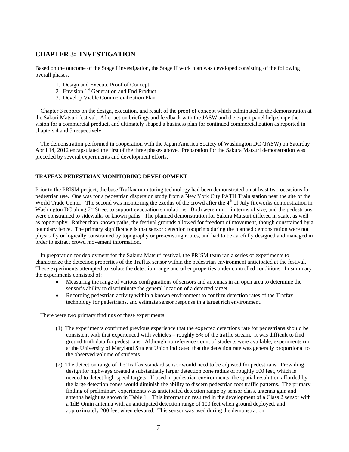# **CHAPTER 3: INVESTIGATION**

Based on the outcome of the Stage I investigation, the Stage II work plan was developed consisting of the following overall phases.

- 1. Design and Execute Proof of Concept
- 2. Envision 1<sup>st</sup> Generation and End Product
- 3. Develop Viable Commercialization Plan

Chapter 3 reports on the design, execution, and result of the proof of concept which culminated in the demonstration at the Sakuri Matsuri festival. After action briefings and feedback with the JASW and the expert panel help shape the vision for a commercial product, and ultimately shaped a business plan for continued commercialization as reported in chapters 4 and 5 respectively.

The demonstration performed in cooperation with the Japan America Society of Washington DC (JASW) on Saturday April 14, 2012 encapsulated the first of the three phases above. Preparation for the Sakura Matsuri demonstration was preceded by several experiments and development efforts.

# **TRAFFAX PEDESTRIAN MONITORING DEVELOPMENT**

Prior to the PRISM project, the base Traffax monitoring technology had been demonstrated on at least two occasions for pedestrian use. One was for a pedestrian dispersion study from a New York City PATH Train station near the site of the World Trade Center. The second was monitoring the exodus of the crowd after the  $4<sup>th</sup>$  of July fireworks demonstration in Washington DC along 7<sup>th</sup> Street to support evacuation simulations. Both were minor in terms of size, and the pedestrians were constrained to sidewalks or known paths. The planned demonstration for Sakura Matsuri differed in scale, as well as topography. Rather than known paths, the festival grounds allowed for freedom of movement, though constrained by a boundary fence. The primary significance is that sensor detection footprints during the planned demonstration were not physically or logically constrained by topography or pre-existing routes, and had to be carefully designed and managed in order to extract crowd movement information.

In preparation for deployment for the Sakura Matsuri festival, the PRISM team ran a series of experiments to characterize the detection properties of the Traffax sensor within the pedestrian environment anticipated at the festival. These experiments attempted to isolate the detection range and other properties under controlled conditions. In summary the experiments consisted of:

- Measuring the range of various configurations of sensors and antennas in an open area to determine the sensor's ability to discriminate the general location of a detected target.
- Recording pedestrian activity within a known environment to confirm detection rates of the Traffax technology for pedestrians, and estimate sensor response in a target rich environment.

There were two primary findings of these experiments.

- (1) The experiments confirmed previous experience that the expected detections rate for pedestrians should be consistent with that experienced with vehicles – roughly 5% of the traffic stream. It was difficult to find ground truth data for pedestrians. Although no reference count of students were available, experiments run at the University of Maryland Student Union indicated that the detection rate was generally proportional to the observed volume of students.
- (2) The detection range of the Traffax standard sensor would need to be adjusted for pedestrians. Prevailing design for highways created a substantially larger detection zone radius of roughly 500 feet, which is needed to detect high-speed targets. If used in pedestrian environments, the spatial resolution afforded by the large detection zones would diminish the ability to discern pedestrian foot traffic patterns. The primary finding of preliminary experiments was anticipated detection range by sensor class, antenna gain and antenna height as shown in Table 1. This information resulted in the development of a Class 2 sensor with a 1dB Omin antenna with an anticipated detection range of 100 feet when ground deployed, and approximately 200 feet when elevated. This sensor was used during the demonstration.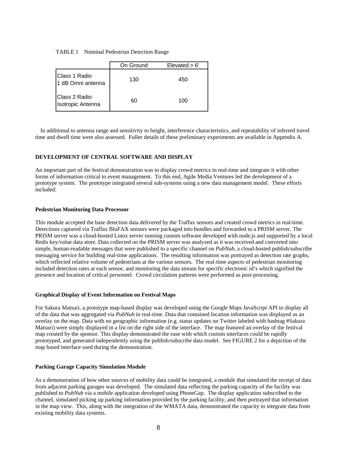#### TABLE 1 Nominal Pedestrian Detection Range

|                                           | On Ground | $E$ levated $> 6'$ |
|-------------------------------------------|-----------|--------------------|
| Class 1 Radio<br>1 dB Omni antenna        | 130       | 450                |
| Class 2 Radio<br><b>Isotropic Antenna</b> | 60        | 100                |

In additional to antenna range and sensitivity to height, interference characteristics, and repeatability of inferred travel time and dwell time were also assessed. Fuller details of these preliminary experiments are available in Appendix A.

# **DEVELOPMENT OF CENTRAL SOFTWARE AND DISPLAY**

An important part of the festival demonstration was to display crowd metrics in real-time and integrate it with other forms of information critical to event management. To this end, Agile Media Ventures led the development of a prototype system. The prototype integrated several sub-systems using a new data management model. These efforts included:

# **Pedestrian Monitoring Data Processor**

This module accepted the base detection data delivered by the Traffax sensors and created crowd metrics in real-time. Detections captured via Traffax BluFAX sensors were packaged into bundles and forwarded to a PRISM server. The PRISM server was a cloud-hosted Linux server running custom software developed with node.js and supported by a local Redis key/value data store. Data collected on the PRISM server was analyzed as it was received and converted into simple, human-readable messages that were published to a specific channel on *PubNub*, a cloud-hosted publish/subscribe messaging service for building real-time applications. The resulting information was portrayed as detection rate graphs, which reflected relative volume of pedestrians at the various sensors. The real-time aspects of pedestrian monitoring included detection rates at each sensor, and monitoring the data stream for specific electronic id's which signified the presence and location of critical personnel. Crowd circulation patterns were performed as post-processing.

# **Graphical Display of Event Information on Festival Maps**

For Sakura Matsuri, a prototype map-based display was developed using the Google Maps JavaScript API to display all of the data that was aggregated via *PubNub* in real-time. Data that contained location information was displayed as an overlay on the map. Data with no geographic information (e.g. status updates on Twitter labeled with hashtag #Sakura Matsuri) were simply displayed in a list on the right side of the interface. The map featured an overlay of the festival map created by the sponsor. This display demonstrated the ease with which custom interfaces could be rapidly prototyped, and generated independently using the publish/subscribe data model. See FIGURE 2 for a depiction of the map based interface used during the demonstration.

# **Parking Garage Capacity Simulation Module**

As a demonstration of how other sources of mobility data could be integrated, a module that simulated the receipt of data from adjacent parking garages was developed. The simulated data reflecting the parking capacity of the facility was published to *PubNub* via a mobile application developed using PhoneGap. The display application subscribed to the channel, simulated picking up parking information provided by the parking facility, and then portrayed that information in the map view. This, along with the integration of the WMATA data, demonstrated the capacity to integrate data from existing mobility data systems.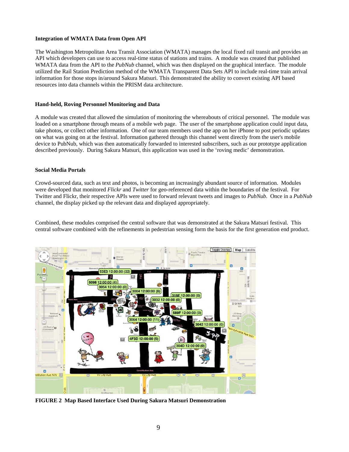# **Integration of WMATA Data from Open API**

The Washington Metropolitan Area Transit Association (WMATA) manages the local fixed rail transit and provides an API which developers can use to access real-time status of stations and trains. A module was created that published WMATA data from the API to the *PubNub* channel, which was then displayed on the graphical interface. The module utilized the Rail Station Prediction method of the WMATA Transparent Data Sets API to include real-time train arrival information for those stops in/around Sakura Matsuri. This demonstrated the ability to convert existing API based resources into data channels within the PRISM data architecture.

### **Hand-held, Roving Personnel Monitoring and Data**

A module was created that allowed the simulation of monitoring the whereabouts of critical personnel. The module was loaded on a smartphone through means of a mobile web page. The user of the smartphone application could input data, take photos, or collect other information. One of our team members used the app on her iPhone to post periodic updates on what was going on at the festival. Information gathered through this channel went directly from the user's mobile device to PubNub, which was then automatically forwarded to interested subscribers, such as our prototype application described previously. During Sakura Matsuri, this application was used in the 'roving medic' demonstration.

#### **Social Media Portals**

Crowd-sourced data, such as text and photos, is becoming an increasingly abundant source of information. Modules were developed that monitored *Flickr* and *Twitter* for geo-referenced data within the boundaries of the festival. For Twitter and Flickr, their respective APIs were used to forward relevant tweets and images to *PubNub*. Once in a *PubNub* channel, the display picked up the relevant data and displayed appropriately.

Combined, these modules comprised the central software that was demonstrated at the Sakura Matsuri festival. This central software combined with the refinements in pedestrian sensing form the basis for the first generation end product.



**FIGURE 2 Map Based Interface Used During Sakura Matsuri Demonstration**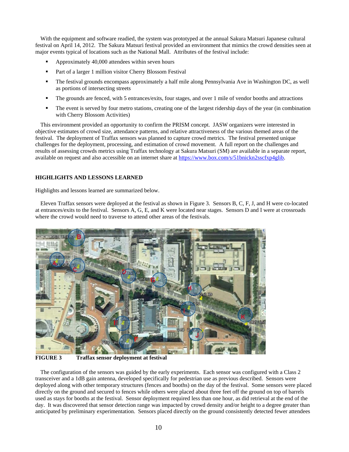With the equipment and software readied, the system was prototyped at the annual Sakura Matsuri Japanese cultural festival on April 14, 2012. The Sakura Matsuri festival provided an environment that mimics the crowd densities seen at major events typical of locations such as the National Mall. Attributes of the festival include:

- Approximately 40,000 attendees within seven hours
- Part of a larger 1 million visitor Cherry Blossom Festival
- The festival grounds encompass approximately a half mile along Pennsylvania Ave in Washington DC, as well as portions of intersecting streets
- The grounds are fenced, with 5 entrances/exits, four stages, and over 1 mile of vendor booths and attractions
- The event is served by four metro stations, creating one of the largest ridership days of the year (in combination with Cherry Blossom Activities)

This environment provided an opportunity to confirm the PRISM concept. JASW organizers were interested in objective estimates of crowd size, attendance patterns, and relative attractiveness of the various themed areas of the festival. The deployment of Traffax sensors was planned to capture crowd metrics. The festival presented unique challenges for the deployment, processing, and estimation of crowd movement. A full report on the challenges and results of assessing crowds metrics using Traffax technology at Sakura Matsuri (SM) are available in a separate report, available on request and also accessible on an internet share at https://www.box.com/s/51bnickn2sscfxp4glib.

# **HIGHLIGHTS AND LESSONS LEARNED**

Highlights and lessons learned are summarized below.

Eleven Traffax sensors were deployed at the festival as shown in Figure 3. Sensors B, C, F, J, and H were co-located at entrances/exits to the festival. Sensors A, G, E, and K were located near stages. Sensors D and I were at crossroads where the crowd would need to traverse to attend other areas of the festivals.



**FIGURE 3 Traffax sensor deployment at festival** 

The configuration of the sensors was guided by the early experiments. Each sensor was configured with a Class 2 transceiver and a 1dB gain antenna, developed specifically for pedestrian use as previous described. Sensors were deployed along with other temporary structures (fences and booths) on the day of the festival. Some sensors were placed directly on the ground and secured to fences while others were placed about three feet off the ground on top of barrels used as stays for booths at the festival. Sensor deployment required less than one hour, as did retrieval at the end of the day. It was discovered that sensor detection range was impacted by crowd density and/or height to a degree greater than anticipated by preliminary experimentation. Sensors placed directly on the ground consistently detected fewer attendees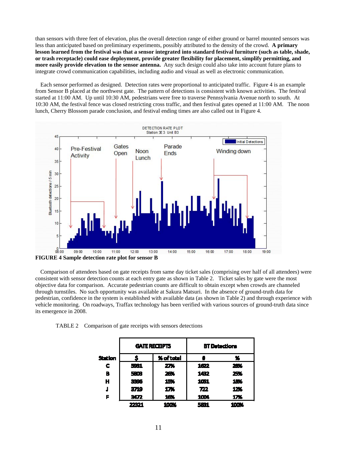than sensors with three feet of elevation, plus the overall detection range of either ground or barrel mounted sensors was less than anticipated based on preliminary experiments, possibly attributed to the density of the crowd. **A primary lesson learned from the festival was that a sensor integrated into standard festival furniture (such as table, shade, or trash receptacle) could ease deployment, provide greater flexibility for placement, simplify permitting, and more easily provide elevation to the sensor antenna.** Any such design could also take into account future plans to integrate crowd communication capabilities, including audio and visual as well as electronic communication.

Each sensor performed as designed. Detection rates were proportional to anticipated traffic. Figure 4 is an example from Sensor B placed at the northwest gate. The pattern of detections is consistent with known activities. The festival started at 11:00 AM. Up until 10:30 AM, pedestrians were free to traverse Pennsylvania Avenue north to south. At 10:30 AM, the festival fence was closed restricting cross traffic, and then festival gates opened at 11:00 AM. The noon lunch, Cherry Blossom parade conclusion, and festival ending times are also called out in Figure 4.



**FIGURE 4 Sample detection rate plot for sensor B** 

Comparison of attendees based on gate receipts from same day ticket sales (comprising over half of all attendees) were consistent with sensor detection counts at each entry gate as shown in Table 2. Ticket sales by gate were the most objective data for comparison. Accurate pedestrian counts are difficult to obtain except when crowds are channeled through turnstiles. No such opportunity was available at Sakura Matsuri. In the absence of ground-truth data for pedestrian, confidence in the system is established with available data (as shown in Table 2) and through experience with vehicle monitoring. On roadways, Traffax technology has been verified with various sources of ground-truth data since its emergence in 2008.

TABLE 2 Comparison of gate receipts with sensors detections

|                |       | <b>GATE RECEIPTS</b> | <b>BT Detections</b> |      |  |
|----------------|-------|----------------------|----------------------|------|--|
| <b>Station</b> |       | % of total           |                      | x    |  |
| c              | 5931  | 27%                  | 1622                 | 28%  |  |
| B              | 5803  | 26%                  | 1432                 | 25%  |  |
| н              | 3396  | 15%                  | 1051                 | 18%  |  |
|                | 3719  | 17%                  | 722                  | 12%  |  |
| F              | 3472  | 16%                  | 1004                 | 17%  |  |
|                | 22321 | 100%                 | 5 G I                | 100% |  |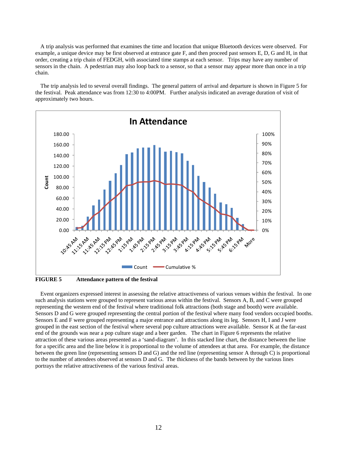A trip analysis was performed that examines the time and location that unique Bluetooth devices were observed. For example, a unique device may be first observed at entrance gate F, and then proceed past sensors E, D, G and H, in that order, creating a trip chain of FEDGH, with associated time stamps at each sensor. Trips may have any number of sensors in the chain. A pedestrian may also loop back to a sensor, so that a sensor may appear more than once in a trip chain.

The trip analysis led to several overall findings. The general pattern of arrival and departure is shown in Figure 5 for the festival. Peak attendance was from 12:30 to 4:00PM. Further analysis indicated an average duration of visit of approximately two hours.



**FIGURE 5 Attendance pattern of the festival** 

Event organizers expressed interest in assessing the relative attractiveness of various venues within the festival. In one such analysis stations were grouped to represent various areas within the festival. Sensors A, B, and C were grouped representing the western end of the festival where traditional folk attractions (both stage and booth) were available. Sensors D and G were grouped representing the central portion of the festival where many food vendors occupied booths. Sensors E and F were grouped representing a major entrance and attractions along its leg. Sensors H, I and J were grouped in the east section of the festival where several pop culture attractions were available. Sensor K at the far-east end of the grounds was near a pop culture stage and a beer garden. The chart in Figure 6 represents the relative attraction of these various areas presented as a 'sand-diagram'. In this stacked line chart, the distance between the line for a specific area and the line below it is proportional to the volume of attendees at that area. For example, the distance between the green line (representing sensors D and G) and the red line (representing sensor A through C) is proportional to the number of attendees observed at sensors D and G. The thickness of the bands between by the various lines portrays the relative attractiveness of the various festival areas.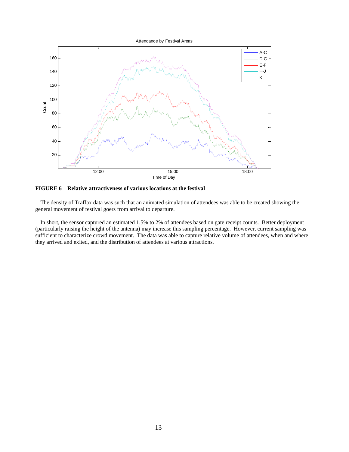

**FIGURE 6 Relative attractiveness of various locations at the festival** 

The density of Traffax data was such that an animated simulation of attendees was able to be created showing the general movement of festival goers from arrival to departure.

In short, the sensor captured an estimated 1.5% to 2% of attendees based on gate receipt counts. Better deployment (particularly raising the height of the antenna) may increase this sampling percentage. However, current sampling was sufficient to characterize crowd movement. The data was able to capture relative volume of attendees, when and where they arrived and exited, and the distribution of attendees at various attractions.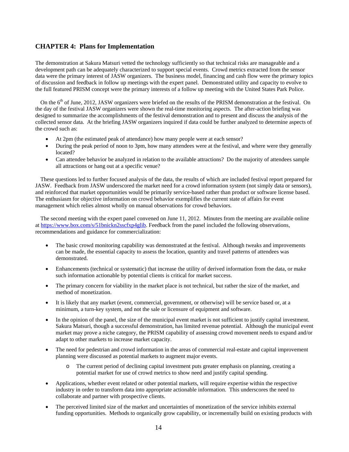# **CHAPTER 4: Plans for Implementation**

The demonstration at Sakura Matsuri vetted the technology sufficiently so that technical risks are manageable and a development path can be adequately characterized to support special events. Crowd metrics extracted from the sensor data were the primary interest of JASW organizers. The business model, financing and cash flow were the primary topics of discussion and feedback in follow up meetings with the expert panel. Demonstrated utility and capacity to evolve to the full featured PRISM concept were the primary interests of a follow up meeting with the United States Park Police.

On the 6<sup>th</sup> of June, 2012, JASW organizers were briefed on the results of the PRISM demonstration at the festival. On the day of the festival JASW organizers were shown the real-time monitoring aspects. The after-action briefing was designed to summarize the accomplishments of the festival demonstration and to present and discuss the analysis of the collected sensor data. At the briefing JASW organizers inquired if data could be further analyzed to determine aspects of the crowd such as:

- At 2pm (the estimated peak of attendance) how many people were at each sensor?
- During the peak period of noon to 3pm, how many attendees were at the festival, and where were they generally located?
- Can attendee behavior be analyzed in relation to the available attractions? Do the majority of attendees sample all attractions or hang out at a specific venue?

These questions led to further focused analysis of the data, the results of which are included festival report prepared for JASW. Feedback from JASW underscored the market need for a crowd information system (not simply data or sensors), and reinforced that market opportunities would be primarily service-based rather than product or software license based. The enthusiasm for objective information on crowd behavior exemplifies the current state of affairs for event management which relies almost wholly on manual observations for crowd behaviors.

The second meeting with the expert panel convened on June 11, 2012. Minutes from the meeting are available online at https://www.box.com/s/51bnickn2sscfxp4glib. Feedback from the panel included the following observations, recommendations and guidance for commercialization:

- The basic crowd monitoring capability was demonstrated at the festival. Although tweaks and improvements can be made, the essential capacity to assess the location, quantity and travel patterns of attendees was demonstrated.
- Enhancements (technical or systematic) that increase the utility of derived information from the data, or make such information actionable by potential clients is critical for market success.
- The primary concern for viability in the market place is not technical, but rather the size of the market, and method of monetization.
- It is likely that any market (event, commercial, government, or otherwise) will be service based or, at a minimum, a turn-key system, and not the sale or licensure of equipment and software.
- In the opinion of the panel, the size of the municipal event market is not sufficient to justify capital investment. Sakura Matsuri, though a successful demonstration, has limited revenue potential. Although the municipal event market may prove a niche category, the PRISM capability of assessing crowd movement needs to expand and/or adapt to other markets to increase market capacity.
- The need for pedestrian and crowd information in the areas of commercial real-estate and capital improvement planning were discussed as potential markets to augment major events.
	- o The current period of declining capital investment puts greater emphasis on planning, creating a potential market for use of crowd metrics to show need and justify capital spending.
- Applications, whether event related or other potential markets, will require expertise within the respective industry in order to transform data into appropriate actionable information. This underscores the need to collaborate and partner with prospective clients.
- The perceived limited size of the market and uncertainties of monetization of the service inhibits external funding opportunities. Methods to organically grow capability, or incrementally build on existing products with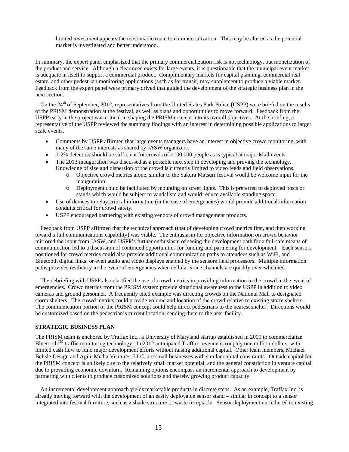limited investment appears the most viable route to commercialization. This may be altered as the potential market is investigated and better understood.

In summary, the expert panel emphasized that the primary commercialization risk is not technology, but monetization of the product and service. Although a clear need exists for large events, it is questionable that the municipal event market is adequate in itself to support a commercial product. Complimentary markets for capital planning, commercial real estate, and other pedestrian monitoring applications (such as for transit) may supplement to produce a viable market. Feedback from the expert panel were primary drived that guided the development of the strategic business plan in the next section.

On the 24<sup>th</sup> of September, 2012, representatives from the United States Park Police (USPP) were briefed on the results of the PRISM demonstration at the festival, as well as plans and opportunities to move forward. Feedback from the USPP early in the project was critical in shaping the PRISM concept into its overall objectives. At the briefing, a representative of the USPP reviewed the summary findings with an interest in determining possible applications to larger scale events.

- Comments by USPP affirmed that large events managers have an interest in objective crowd monitoring, with many of the same interests as shared by JASW organizers.
- 1-2% detection should be sufficient for crowds of >100,000 people as is typical at major Mall events.
- The 2013 inauguration was discussed as a possible next step in developing and proving the technology. Knowledge of size and dispersion of the crowd is currently limited to video feeds and field observations.
	- o Objective crowd metrics alone, similar to the Sakura Matsuri festival would be welcome input for the inauguration.
	- o Deployment could be facilitated by mounting on street lights. This is preferred to deployed posts or stands which would be subject to vandalism and would reduce available standing space.
- Use of devices to relay critical information (in the case of emergencies) would provide additional information conduits critical for crowd safety.
- USPP encouraged partnering with existing vendors of crowd management products.

Feedback from USPP affirmed that the technical approach (that of developing crowd metrics first, and then working toward a full communications capability) was viable. The enthusiasm for objective information on crowd behavior mirrored the input from JASW, and USPP's further enthusiasm of seeing the development path for a fail-safe means of communication led to a discussion of continued opportunities for funding and partnering for development. Each sensors positioned for crowd metrics could also provide additional communication paths to attendees such as WiFi, and Bluetooth digital links, or even audio and video displays enabled by the sensors field processors. Multiple information paths provides resiliency in the event of emergencies when cellular voice channels are quickly over-whelmed.

The debriefing with USPP also clarified the use of crowd metrics in providing information to the crowd in the event of emergencies. Crowd metrics from the PRISM system provide situational awareness to the USPP in addition to video cameras and ground personnel. A frequently cited example was directing crowds on the National Mall to designated storm shelters. The crowd metrics could provide volume and location of the crowd relative to existing storm shelters. The communication portion of the PRISM concept could help direct pedestrians to the nearest shelter. Directions would be customized based on the pedestrian's current location, sending them to the near facility.

#### **STRATEGIC BUSINESS PLAN**

The PRISM team is anchored by Traffax Inc., a University of Maryland startup established in 2009 to commercialize Bluetooth<sup>TM</sup> traffic monitoring technology. In 2012 anticipated Traffax revenue is roughly one million dollars, with limited cash flow to fund major development efforts without raising additional capital. Other team members, Michael Belisle Design and Agile Media Ventures, LLC, are small businesses with similar capital constraints. Outside capitol for the PRISM concept is unlikely due to the relatively small market potential, and the general constriction in venture capital due to prevailing economic downturn. Remaining options encompass an incremental approach to development by partnering with clients to produce customized solutions and thereby growing product capacity.

An incremental development approach yields marketable products in discrete steps. As an example, Traffax Inc. is already moving forward with the development of an easily deployable sensor stand – similar in concept to a sensor integrated into festival furniture, such as a shade structure or waste receptacle. Sensor deployment un-tethered to existing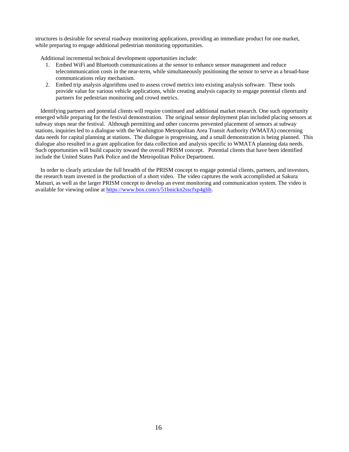structures is desirable for several roadway monitoring applications, providing an immediate product for one market, while preparing to engage additional pedestrian monitoring opportunities.

Additional incremental technical development opportunities include:

- 1. Embed WiFi and Bluetooth communications at the sensor to enhance sensor management and reduce telecommunication costs in the near-term, while simultaneously positioning the sensor to serve as a broad-base communications relay mechanism.
- 2. Embed trip analysis algorithms used to assess crowd metrics into existing analysis software. These tools provide value for various vehicle applications, while creating analysis capacity to engage potential clients and partners for pedestrian monitoring and crowd metrics.

Identifying partners and potential clients will require continued and additional market research. One such opportunity emerged while preparing for the festival demonstration. The original sensor deployment plan included placing sensors at subway stops near the festival. Although permitting and other concerns prevented placement of sensors at subway stations, inquiries led to a dialogue with the Washington Metropolitan Area Transit Authority (WMATA) concerning data needs for capital planning at stations. The dialogue is progressing, and a small demonstration is being planned. This dialogue also resulted in a grant application for data collection and analysis specific to WMATA planning data needs. Such opportunities will build capacity toward the overall PRISM concept. Potential clients that have been identified include the United States Park Police and the Metropolitan Police Department.

In order to clearly articulate the full breadth of the PRISM concept to engage potential clients, partners, and investors, the research team invested in the production of a short video. The video captures the work accomplished at Sakura Matsuri, as well as the larger PRISM concept to develop an event monitoring and communication system. The video is available for viewing online at https://www.box.com/s/51bnickn2sscfxp4glib.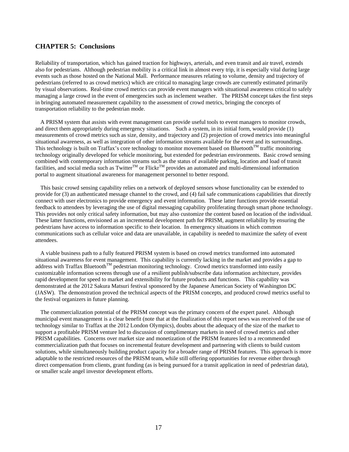# **CHAPTER 5: Conclusions**

Reliability of transportation, which has gained traction for highways, arterials, and even transit and air travel, extends also for pedestrians. Although pedestrian mobility is a critical link in almost every trip, it is especially vital during large events such as those hosted on the National Mall. Performance measures relating to volume, density and trajectory of pedestrians (referred to as crowd metrics) which are critical to managing large crowds are currently estimated primarily by visual observations. Real-time crowd metrics can provide event managers with situational awareness critical to safely managing a large crowd in the event of emergencies such as inclement weather. The PRISM concept takes the first steps in bringing automated measurement capability to the assessment of crowd metrics, bringing the concepts of transportation reliability to the pedestrian mode.

A PRISM system that assists with event management can provide useful tools to event managers to monitor crowds, and direct them appropriately during emergency situations. Such a system, in its initial form, would provide (1) measurements of crowd metrics such as size, density, and trajectory and (2) projection of crowd metrics into meaningful situational awareness, as well as integration of other information streams available for the event and its surroundings. This technology is built on Traffax's core technology to monitor movement based on Bluetooth<sup>TM</sup> traffic monitoring technology originally developed for vehicle monitoring, but extended for pedestrian environments. Basic crowd sensing combined with contemporary information streams such as the status of available parking, location and load of transit facilities, and social media such as Twitter<sup>TM</sup> or Flickr<sup>TM</sup> provides an automated and multi-dimensional information portal to augment situational awareness for management personnel to better respond.

This basic crowd sensing capability relies on a network of deployed sensors whose functionality can be extended to provide for (3) an authenticated message channel to the crowd, and (4) fail safe communications capabilities that directly connect with user electronics to provide emergency and event information. These latter functions provide essential feedback to attendees by leveraging the use of digital messaging capability proliferating through smart phone technology. This provides not only critical safety information, but may also customize the content based on location of the individual. These latter functions, envisioned as an incremental development path for PRISM, augment reliability by ensuring the pedestrians have access to information specific to their location. In emergency situations in which common communications such as cellular voice and data are unavailable, in capability is needed to maximize the safety of event attendees.

A viable business path to a fully featured PRISM system is based on crowd metrics transformed into automated situational awareness for event management. This capability is currently lacking in the market and provides a gap to address with Traffax Bluetooth<sup>TM</sup> pedestrian monitoring technology. Crowd metrics transformed into easily customizable information screens through use of a resilient publish/subscribe data information architecture, provides rapid development for speed to market and extensibility for future products and functions. This capability was demonstrated at the 2012 Sakura Matsuri festival sponsored by the Japanese American Society of Washington DC (JASW). The demonstration proved the technical aspects of the PRISM concepts, and produced crowd metrics useful to the festival organizers in future planning.

The commercialization potential of the PRISM concept was the primary concern of the expert panel. Although municipal event management is a clear benefit (note that at the finalization of this report news was received of the use of technology similar to Traffax at the 2012 London Olympics), doubts about the adequacy of the size of the market to support a profitable PRISM venture led to discussion of complimentary markets in need of crowd metrics and other PRISM capabilities. Concerns over market size and monetization of the PRISM features led to a recommended commercialization path that focuses on incremental feature development and partnering with clients to build custom solutions, while simultaneously building product capacity for a broader range of PRISM features. This approach is more adaptable to the restricted resources of the PRISM team, while still offering opportunities for revenue either through direct compensation from clients, grant funding (as is being pursued for a transit application in need of pedestrian data), or smaller scale angel investor development efforts.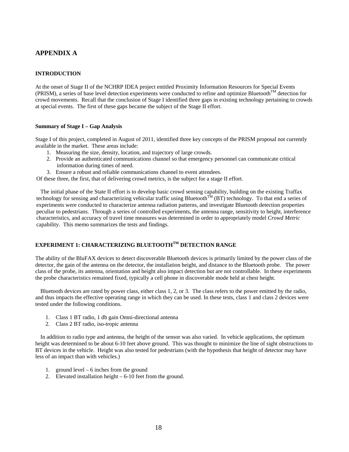# **APPENDIX A**

# **INTRODUCTION**

At the onset of Stage II of the NCHRP IDEA project entitled Proximity Information Resources for Special Events (PRISM), a series of base level detection experiments were conducted to refine and optimize BluetoothTM detection for crowd movements. Recall that the conclusion of Stage I identified three gaps in existing technology pertaining to crowds at special events. The first of these gaps became the subject of the Stage II effort.

#### **Summary of Stage I – Gap Analysis**

Stage I of this project, completed in August of 2011, identified three key concepts of the PRISM proposal not currently available in the market. These areas include:

- 1. Measuring the size, density, location, and trajectory of large crowds.
- 2. Provide an authenticated communications channel so that emergency personnel can communicate critical information during times of need.
- 3. Ensure a robust and reliable communications channel to event attendees.

Of these three, the first, that of delivering crowd metrics, is the subject for a stage II effort.

The initial phase of the State II effort is to develop basic crowd sensing capability, building on the existing Traffax technology for sensing and characterizing vehicular traffic using Bluetooth<sup>TM</sup> (BT) technology. To that end a series of experiments were conducted to characterize antenna radiation patterns, and investigate Bluetooth detection properties peculiar to pedestrians. Through a series of controlled experiments, the antenna range, sensitivity to height, interference characteristics, and accuracy of travel time measures was determined in order to appropriately model *Crowd Metric* capability. This memo summarizes the tests and findings.

# **EXPERIMENT 1: CHARACTERIZING BLUETOOTHTM DETECTION RANGE**

The ability of the BluFAX devices to detect discoverable Bluetooth devices is primarily limited by the power class of the detector, the gain of the antenna on the detector, the installation height, and distance to the Bluetooth probe. The power class of the probe, its antenna, orientation and height also impact detection but are not controllable. In these experiments the probe characteristics remained fixed, typically a cell phone in discoverable mode held at chest height.

Bluetooth devices are rated by power class, either class 1, 2, or 3. The class refers to the power emitted by the radio, and thus impacts the effective operating range in which they can be used. In these tests, class 1 and class 2 devices were tested under the following conditions.

- 1. Class 1 BT radio, 1 db gain Omni-directional antenna
- 2. Class 2 BT radio, iso-tropic antenna

In addition to radio type and antenna, the height of the sensor was also varied. In vehicle applications, the optimum height was determined to be about 6-10 feet above ground. This was thought to minimize the line of sight obstructions to BT devices in the vehicle. Height was also tested for pedestrians (with the hypothesis that height of detector may have less of an impact than with vehicles.)

- 1. ground level 6 inches from the ground
- 2. Elevated installation height 6-10 feet from the ground.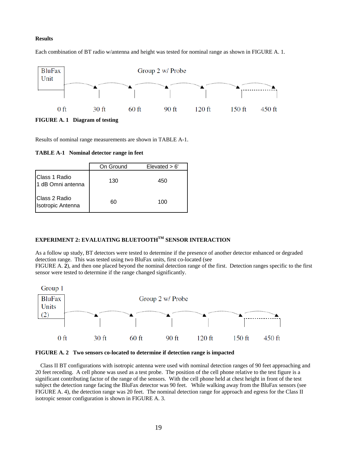# **Results**



Each combination of BT radio w/antenna and height was tested for nominal range as shown in FIGURE A. 1.

**FIGURE A. 1 Diagram of testing** 

Results of nominal range measurements are shown in TABLE A-1.

**TABLE A-1 Nominal detector range in feet** 

|                                    | On Ground | $E$ levated $> 6'$ |
|------------------------------------|-----------|--------------------|
| Class 1 Radio<br>1 dB Omni antenna | 130       | 450                |
| Class 2 Radio<br>Isotropic Antenna | 60        | 100                |

# **EXPERIMENT 2: EVALUATING BLUETOOTHTM SENSOR INTERACTION**

As a follow up study, BT detectors were tested to determine if the presence of another detector enhanced or degraded detection range. This was tested using two BluFax units, first co-located (see FIGURE A. **2**), and then one placed beyond the nominal detection range of the first. Detection ranges specific to the first sensor were tested to determine if the range changed significantly.





Class II BT configurations with isotropic antenna were used with nominal detection ranges of 90 feet approaching and 20 feet receding. A cell phone was used as a test probe. The position of the cell phone relative to the test figure is a significant contributing factor of the range of the sensors. With the cell phone held at chest height in front of the test subject the detection range facing the BluFax detector was 90 feet. While walking away from the BluFax sensors (see FIGURE A. 4), the detection range was 20 feet. The nominal detection range for approach and egress for the Class II isotropic sensor configuration is shown in FIGURE A. 3.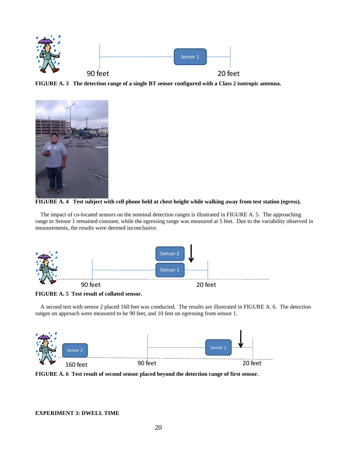

**FIGURE A. 3 The detection range of a single BT sensor configured with a Class 2 isotropic antenna.** 





The impact of co-located sensors on the nominal detection ranges is illustrated in FIGURE A. 5. The approaching range to Sensor 1 remained constant, while the egressing range was measured at 5 feet. Due to the variability observed in measurements, the results were deemed inconclusive.



**FIGURE A. 5 Test result of collated sensor.** 

A second test with sensor 2 placed 160 feet was conducted. The results are illustrated in FIGURE A. 6. The detection ranges on approach were measured to be 90 feet, and 10 feet on egressing from sensor 1.



**FIGURE A. 6 Test result of second sensor placed beyond the detection range of first sensor.**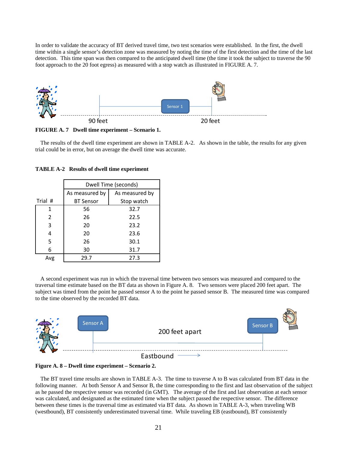In order to validate the accuracy of BT derived travel time, two test scenarios were established. In the first, the dwell time within a single sensor's detection zone was measured by noting the time of the first detection and the time of the last detection. This time span was then compared to the anticipated dwell time (the time it took the subject to traverse the 90 foot approach to the 20 foot egress) as measured with a stop watch as illustrated in FIGURE A. 7.



**FIGURE A. 7 Dwell time experiment – Scenario 1.** 

The results of the dwell time experiment are shown in TABLE A-2. As shown in the table, the results for any given trial could be in error, but on average the dwell time was accurate.

|         | Dwell Time (seconds) |                |  |  |
|---------|----------------------|----------------|--|--|
|         | As measured by       | As measured by |  |  |
| Trial # | <b>BT Sensor</b>     | Stop watch     |  |  |
| 1       | 56                   | 32.7           |  |  |
| 2       | 26                   | 22.5           |  |  |
| 3       | 20                   | 23.2           |  |  |
| 4       | 20                   | 23.6           |  |  |
| 5       | 26                   | 30.1           |  |  |
| 6       | 30                   | 31.7           |  |  |
| Avg     | 29.7                 | 27.3           |  |  |

**TABLE A-2 Results of dwell time experiment** 

A second experiment was run in which the traversal time between two sensors was measured and compared to the traversal time estimate based on the BT data as shown in Figure A. 8. Two sensors were placed 200 feet apart. The subject was timed from the point he passed sensor A to the point he passed sensor B. The measured time was compared to the time observed by the recorded BT data.





The BT travel time results are shown in TABLE A-3. The time to traverse A to B was calculated from BT data in the following manner. At both Sensor A and Sensor B, the time corresponding to the first and last observation of the subject as he passed the respective sensor was recorded (in GMT). The average of the first and last observation at each sensor was calculated, and designated as the estimated time when the subject passed the respective sensor. The difference between these times is the traversal time as estimated via BT data. As shown in TABLE A-3, when traveling WB (westbound), BT consistently underestimated traversal time. While traveling EB (eastbound), BT consistently